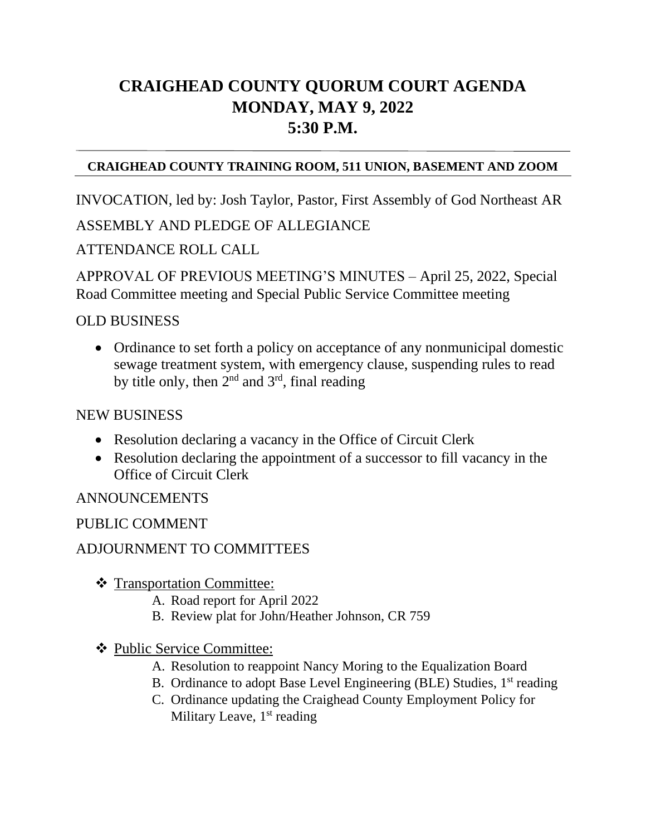# **CRAIGHEAD COUNTY QUORUM COURT AGENDA MONDAY, MAY 9, 2022 5:30 P.M.**

### **CRAIGHEAD COUNTY TRAINING ROOM, 511 UNION, BASEMENT AND ZOOM**

INVOCATION, led by: Josh Taylor, Pastor, First Assembly of God Northeast AR

# ASSEMBLY AND PLEDGE OF ALLEGIANCE

## ATTENDANCE ROLL CALL

APPROVAL OF PREVIOUS MEETING'S MINUTES – April 25, 2022, Special Road Committee meeting and Special Public Service Committee meeting

### OLD BUSINESS

• Ordinance to set forth a policy on acceptance of any nonmunicipal domestic sewage treatment system, with emergency clause, suspending rules to read by title only, then  $2<sup>nd</sup>$  and  $3<sup>rd</sup>$ , final reading

### NEW BUSINESS

- Resolution declaring a vacancy in the Office of Circuit Clerk
- Resolution declaring the appointment of a successor to fill vacancy in the Office of Circuit Clerk

#### ANNOUNCEMENTS ֺ֞

### PUBLIC COMMENT

# ADJOURNMENT TO COMMITTEES

- ❖ Transportation Committee:
	- A. Road report for April 2022
	- B. Review plat for John/Heather Johnson, CR 759

### ❖ Public Service Committee:

- A. Resolution to reappoint Nancy Moring to the Equalization Board
- B. Ordinance to adopt Base Level Engineering (BLE) Studies, 1<sup>st</sup> reading
- C. Ordinance updating the Craighead County Employment Policy for Military Leave,  $1<sup>st</sup>$  reading